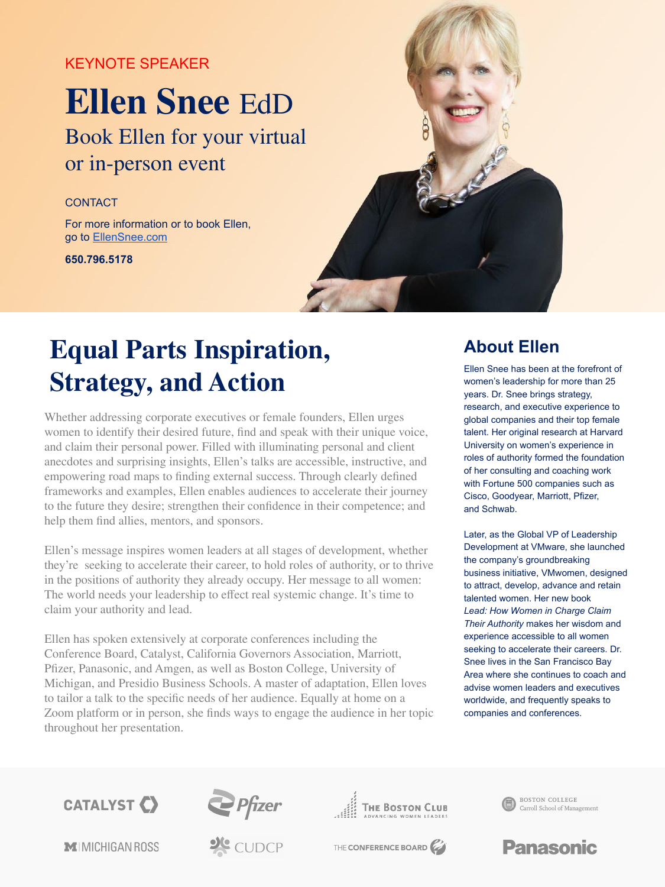## KEYNOTE SPEAKER

# **Ellen Snee** EdD

Book Ellen for your virtual or in-person event

### **CONTACT**

For more information or to book Ellen, go to [EllenSnee.com](https://www.ellensnee.com/)

**650.796.5178**



## **Equal Parts Inspiration, Strategy, and Action**

Whether addressing corporate executives or female founders, Ellen urges women to identify their desired future, find and speak with their unique voice, and claim their personal power. Filled with illuminating personal and client anecdotes and surprising insights, Ellen's talks are accessible, instructive, and empowering road maps to finding external success. Through clearly defined frameworks and examples, Ellen enables audiences to accelerate their journey to the future they desire; strengthen their confidence in their competence; and help them find allies, mentors, and sponsors.

Ellen's message inspires women leaders at all stages of development, whether they're seeking to accelerate their career, to hold roles of authority, or to thrive in the positions of authority they already occupy. Her message to all women: The world needs your leadership to effect real systemic change. It's time to claim your authority and lead.

Ellen has spoken extensively at corporate conferences including the Conference Board, Catalyst, California Governors Association, Marriott, Pfizer, Panasonic, and Amgen, as well as Boston College, University of Michigan, and Presidio Business Schools. A master of adaptation, Ellen loves to tailor a talk to the specific needs of her audience. Equally at home on a Zoom platform or in person, she finds ways to engage the audience in her topic throughout her presentation.

## **About Ellen**

Ellen Snee has been at the forefront of women's leadership for more than 25 years. Dr. Snee brings strategy, research, and executive experience to global companies and their top female talent. Her original research at Harvard University on women's experience in roles of authority formed the foundation of her consulting and coaching work with Fortune 500 companies such as Cisco, Goodyear, Marriott, Pfizer, and Schwab.

Later, as the Global VP of Leadership Development at VMware, she launched the company's groundbreaking business initiative, VMwomen, designed to attract, develop, advance and retain talented women. Her new book *Lead: How Women in Charge Claim Their Authority* makes her wisdom and experience accessible to all women seeking to accelerate their careers. Dr. Snee lives in the San Francisco Bay Area where she continues to coach and advise women leaders and executives worldwide, and frequently speaks to companies and conferences.

**CATALYST C** 











THE CONFERENCE BOARD

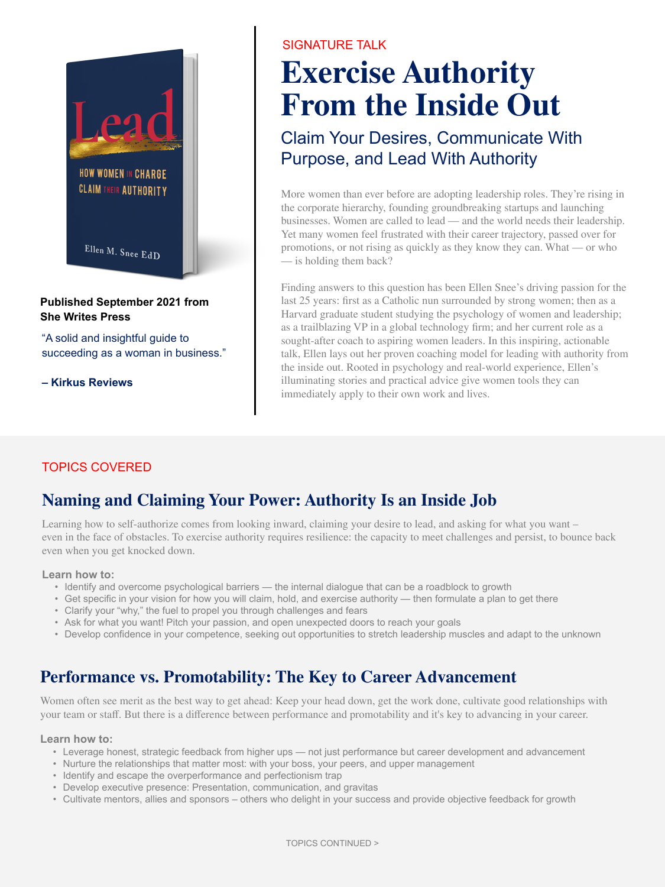

### **Published September 2021 from She Writes Press**

"A solid and insightful guide to succeeding as a woman in business."

**– Kirkus Reviews**

## SIGNATURE TALK

## **From the Inside Out Exercise Authority**

Claim Your Desires, Communicate With Purpose, and Lead With Authority

More women than ever before are adopting leadership roles. They're rising in the corporate hierarchy, founding groundbreaking startups and launching businesses. Women are called to lead — and the world needs their leadership. Yet many women feel frustrated with their career trajectory, passed over for promotions, or not rising as quickly as they know they can. What — or who — is holding them back?

Finding answers to this question has been Ellen Snee's driving passion for the last 25 years: first as a Catholic nun surrounded by strong women; then as a Harvard graduate student studying the psychology of women and leadership; as a trailblazing VP in a global technology firm; and her current role as a sought-after coach to aspiring women leaders. In this inspiring, actionable talk, Ellen lays out her proven coaching model for leading with authority from the inside out. Rooted in psychology and real-world experience, Ellen's illuminating stories and practical advice give women tools they can immediately apply to their own work and lives.

### TOPICS COVERED

## **Naming and Claiming Your Power: Authority Is an Inside Job**

Learning how to self-authorize comes from looking inward, claiming your desire to lead, and asking for what you want – even in the face of obstacles. To exercise authority requires resilience: the capacity to meet challenges and persist, to bounce back even when you get knocked down.

#### **Learn how to:**

- Identify and overcome psychological barriers the internal dialogue that can be a roadblock to growth
- Get specific in your vision for how you will claim, hold, and exercise authority then formulate a plan to get there
- Clarify your "why," the fuel to propel you through challenges and fears
- Ask for what you want! Pitch your passion, and open unexpected doors to reach your goals
- Develop confidence in your competence, seeking out opportunities to stretch leadership muscles and adapt to the unknown

## **Performance vs. Promotability: The Key to Career Advancement**

Women often see merit as the best way to get ahead: Keep your head down, get the work done, cultivate good relationships with your team or staff. But there is a difference between performance and promotability and it's key to advancing in your career.

#### **Learn how to:**

- Leverage honest, strategic feedback from higher ups not just performance but career development and advancement
- Nurture the relationships that matter most: with your boss, your peers, and upper management
- Identify and escape the overperformance and perfectionism trap
- Develop executive presence: Presentation, communication, and gravitas
- Cultivate mentors, allies and sponsors others who delight in your success and provide objective feedback for growth